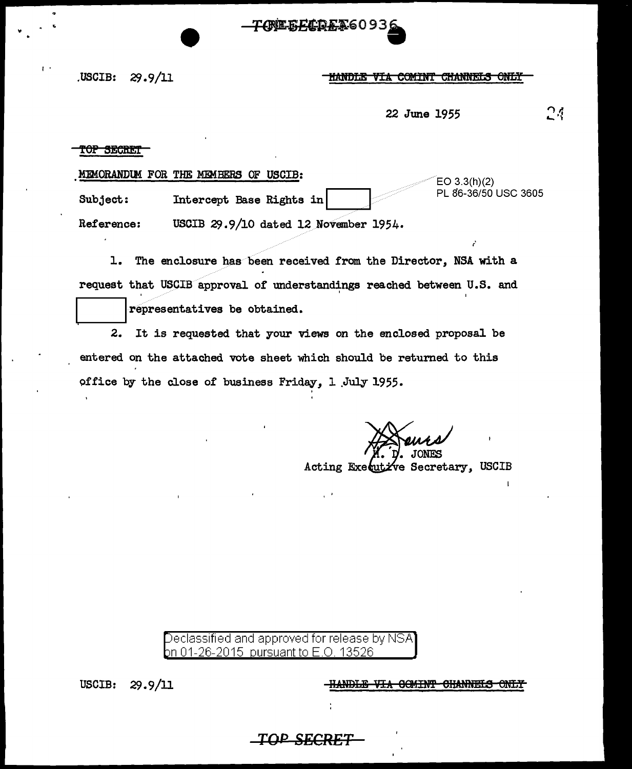FAREEFADEX6093

**USCIB:**  $29.9/11$ 

## **HANDLE VIA COMINT CHANNELS ONLY**

24 22 June 1955

 $EO 3.3(h)(2)$ 

### TOP SECRET

 $\mathbf{I}$ 

MEMORANDUM FOR THE MEMBERS OF USCIB:

PL 86-36/50 USC 3605 Subject: Intercept Base Rights in

Reference: USCIB 29.9/10 dated 12 November 1954.

1. The enclosure has been received from the Director, NSA with a request that USCIB approval of understandings reached between U.S. and

representatives be obtained.

2. It is requested that your views on the enclosed proposal be entered on the attached vote sheet which should be returned to this office by the close of business Friday, 1 July 1955.

 $\cdot$ 

Acting Executive Secretary, USCIB

Declassified and approved for release by NSA on 01-26-2015 pursuant to E.O. 13526

**HANDLE VIA COMINT CHANNELS ONLY** 

USCIB:  $29.9/11$ 

<u>TOP S</u>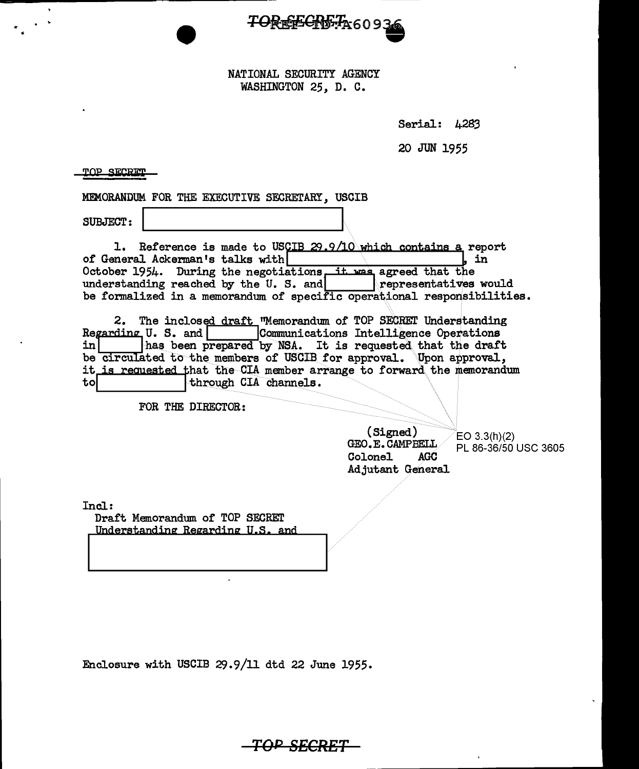

# NATIONAL SECURITY AGENCY WASHINGTON 25, D. C.

Serial:  $\mu$ 283

20 JUN 1955

~OP **SiC:ali:l'** 

MEMORANDUM FOR THE EXECUTIVE SECRETARY, USCIB

SUBJECT: ~I ~~~~~~~~~~~~---'

1. Reference is made to USCIB  $29.9/10$  which contains a report neral Ackerman's talks with of General Ackerman's talks with October 1954. During the negotiations it was agreed that the understanding reached by the U.S. and **propresentatives would** be formalized in a memorandum of specific operational responsibilities.

2. The inclosed draft ''Memorandum of TOP SECRET Understanding Regarding U. S. and  $\Box$  Communications Intelligence Operations in  $\Box$  has been prepared by NSA. It is requested that the draft has been prepared by NSA. It is requested that the draft be circulated to the members of USCIB for approval. Upon approval, it is requested that the CIA member arrange to forward the memorandum to

FOR THE DIRECTOR:

(Signed) GEO.E.CAMPBELL<br>Colonel AGC Colonel Adjutant General EO 3.3(h)(2) PL 86-36/50 USC 3605

Incl:

Draft Memorandum of TOP SECREr Understanding Regarding U.S. and

Enclosure with USCIB 29.9/11 dtd 22 June 1955.

**TOP SECRET**